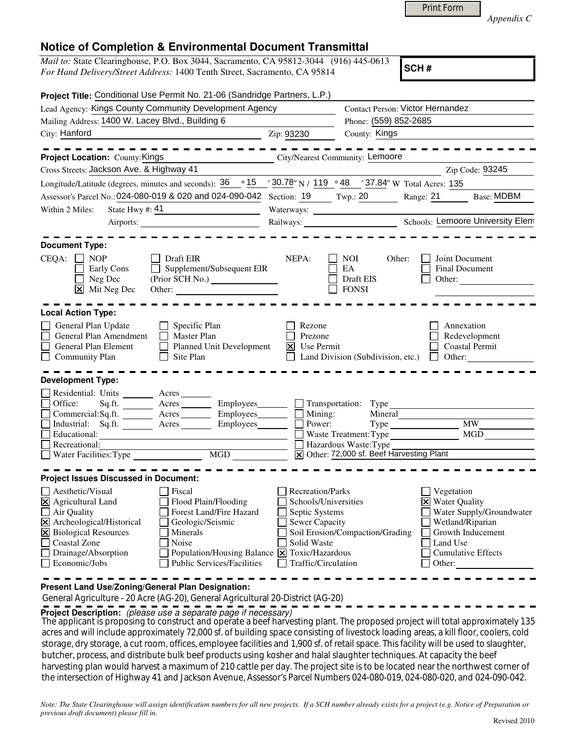|  | <b>Print Form</b> |
|--|-------------------|
|  |                   |

*Appendix C* 

|  |  | <b>Notice of Completion &amp; Environmental Document Transmittal</b> |
|--|--|----------------------------------------------------------------------|
|--|--|----------------------------------------------------------------------|

| <i>Mail to:</i> State Clearinghouse, P.O. Box 3044, Sacramento, CA 95812-3044 (916) 445-0613 |  |
|----------------------------------------------------------------------------------------------|--|
| For Hand Delivery/Street Address: 1400 Tenth Street, Sacramento, CA 95814                    |  |

**SCH #**

| Project Title: Conditional Use Permit No. 21-06 (Sandridge Partners, L.P.)                                                                                                                                                                                                                                                                                                                                          |                                                                                                                    |                                                                                                                                  |                                                                                                                                                                      |
|---------------------------------------------------------------------------------------------------------------------------------------------------------------------------------------------------------------------------------------------------------------------------------------------------------------------------------------------------------------------------------------------------------------------|--------------------------------------------------------------------------------------------------------------------|----------------------------------------------------------------------------------------------------------------------------------|----------------------------------------------------------------------------------------------------------------------------------------------------------------------|
| Lead Agency: Kings County Community Development Agency                                                                                                                                                                                                                                                                                                                                                              |                                                                                                                    | <b>Contact Person: Victor Hernandez</b>                                                                                          |                                                                                                                                                                      |
| Mailing Address: 1400 W. Lacey Blvd., Building 6<br>City: Hanford                                                                                                                                                                                                                                                                                                                                                   | Zip: 93230                                                                                                         | Phone: (559) 852-2685<br>County: Kings                                                                                           |                                                                                                                                                                      |
|                                                                                                                                                                                                                                                                                                                                                                                                                     |                                                                                                                    |                                                                                                                                  |                                                                                                                                                                      |
| <b>Project Location: County: Kings</b>                                                                                                                                                                                                                                                                                                                                                                              |                                                                                                                    | City/Nearest Community: Lemoore                                                                                                  |                                                                                                                                                                      |
| Cross Streets: Jackson Ave. & Highway 41                                                                                                                                                                                                                                                                                                                                                                            |                                                                                                                    |                                                                                                                                  | Zip Code: 93245                                                                                                                                                      |
| Longitude/Latitude (degrees, minutes and seconds): $36 \degree$ 15 $\degree$ 30.78" N / 119 $\degree$ 48 $\degree$ 37.84" W Total Acres: 135                                                                                                                                                                                                                                                                        |                                                                                                                    |                                                                                                                                  |                                                                                                                                                                      |
| Assessor's Parcel No.: 024-080-019 & 020 and 024-090-042 Section: 19 Twp.: 20                                                                                                                                                                                                                                                                                                                                       |                                                                                                                    |                                                                                                                                  | <b>Base: MDBM</b><br>Range: 21                                                                                                                                       |
| Within 2 Miles:<br>State Hwy #: $41$                                                                                                                                                                                                                                                                                                                                                                                |                                                                                                                    | Waterways:                                                                                                                       |                                                                                                                                                                      |
|                                                                                                                                                                                                                                                                                                                                                                                                                     |                                                                                                                    |                                                                                                                                  | Railways: Schools: Lemoore University Elem                                                                                                                           |
| <b>Document Type:</b>                                                                                                                                                                                                                                                                                                                                                                                               |                                                                                                                    |                                                                                                                                  |                                                                                                                                                                      |
| Draft EIR<br>CEQA:<br>$\blacksquare$ NOP<br>$\Box$ Supplement/Subsequent EIR<br>Early Cons<br>Neg Dec<br>$\overline{\mathbf{x}}$<br>Mit Neg Dec<br>Other:                                                                                                                                                                                                                                                           | NEPA:                                                                                                              | Other:<br><b>NOI</b><br>EA<br>Draft EIS<br><b>FONSI</b>                                                                          | Joint Document<br>Final Document<br>Other:                                                                                                                           |
| <b>Local Action Type:</b>                                                                                                                                                                                                                                                                                                                                                                                           |                                                                                                                    |                                                                                                                                  |                                                                                                                                                                      |
| General Plan Update<br>Specific Plan<br>General Plan Amendment<br>Master Plan<br>General Plan Element<br>Planned Unit Development<br><b>Community Plan</b><br>Site Plan                                                                                                                                                                                                                                             | Rezone<br>Prezone<br><b>X</b> Use Permit                                                                           | Land Division (Subdivision, etc.)                                                                                                | Annexation<br>Redevelopment<br><b>Coastal Permit</b><br>$\Box$ Other:                                                                                                |
| <b>Development Type:</b>                                                                                                                                                                                                                                                                                                                                                                                            |                                                                                                                    |                                                                                                                                  |                                                                                                                                                                      |
| Residential: Units _______ Acres ______<br>Office:<br>Sq.ft. Acres<br>Employees_<br>Commercial:Sq.ft. ________ Acres _______<br>Employees_<br>Industrial: Sq.ft.<br>$\text{Acres}$ <sub>_________</sub><br>Employees<br>Educational:<br><u> 1980 - Johann Barnett, fransk politik (</u><br>Recreational:<br>■ Recreational:<br>■ Water Facilities:Type <u>■ MGD</u>                                                 | $\Box$ Transportation:<br>$\Box$ Mining:<br>Power:                                                                 | $Type_$<br>Mineral<br>$Type \_\_$<br>Waste Treatment: Type<br>Hazardous Waste: Type<br>X Other: 72,000 sf. Beef Harvesting Plant | <b>MW</b><br>MGD                                                                                                                                                     |
| <b>Project Issues Discussed in Document:</b>                                                                                                                                                                                                                                                                                                                                                                        |                                                                                                                    |                                                                                                                                  |                                                                                                                                                                      |
| Aesthetic/Visual<br>Fiscal<br>$\boxtimes$ Agricultural Land<br>$\Box$ Flood Plain/Flooding<br>$\Box$ Air Quality<br>Forest Land/Fire Hazard<br>X Archeological/Historical<br>Geologic/Seismic<br>X Biological Resources<br>Minerals<br>Coastal Zone<br>Noise<br>Population/Housing Balance $\boxed{\mathbf{X}}$ Toxic/Hazardous<br>Drainage/Absorption<br>$\Box$ Economic/Jobs<br><b>Public Services/Facilities</b> | Recreation/Parks<br>Schools/Universities<br>Septic Systems<br>Sewer Capacity<br>Solid Waste<br>Traffic/Circulation | Soil Erosion/Compaction/Grading                                                                                                  | Vegetation<br>$\triangleright$ Water Quality<br>Water Supply/Groundwater<br>Wetland/Riparian<br>Growth Inducement<br>Land Use<br><b>Cumulative Effects</b><br>Other: |

**Present Land Use/Zoning/General Plan Designation:**

General Agriculture - 20 Acre (AG-20), General Agricultural 20-District (AG-20)

**Project Description:** (please use a separate page if necessary)

The applicant is proposing to construct and operate a beef harvesting plant. The proposed project will total approximately 135 acres and will include approximately 72,000 sf. of building space consisting of livestock loading areas, a kill floor, coolers, cold storage, dry storage, a cut room, offices, employee facilities and 1,900 sf. of retail space. This facility will be used to slaughter, butcher, process, and distribute bulk beef products using kosher and halal slaughter techniques. At capacity the beef harvesting plan would harvest a maximum of 210 cattle per day. The project site is to be located near the northwest corner of the intersection of Highway 41 and Jackson Avenue, Assessor's Parcel Numbers 024-080-019, 024-080-020, and 024-090-042.

*Note: The State Clearinghouse will assign identification numbers for all new projects. If a SCH number already exists for a project (e.g. Notice of Preparation or previous draft document) please fill in.*